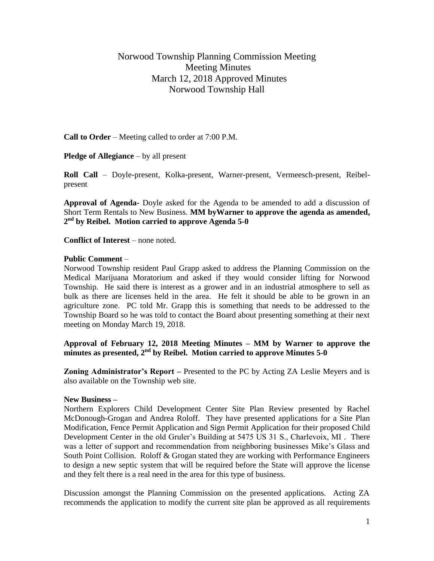# Norwood Township Planning Commission Meeting Meeting Minutes March 12, 2018 Approved Minutes Norwood Township Hall

**Call to Order** – Meeting called to order at 7:00 P.M.

**Pledge of Allegiance** – by all present

**Roll Call** – Doyle-present, Kolka-present, Warner-present, Vermeesch-present, Reibelpresent

**Approval of Agenda-** Doyle asked for the Agenda to be amended to add a discussion of Short Term Rentals to New Business. **MM byWarner to approve the agenda as amended, 2 nd by Reibel. Motion carried to approve Agenda 5-0**

**Conflict of Interest** – none noted.

### **Public Comment** –

Norwood Township resident Paul Grapp asked to address the Planning Commission on the Medical Marijuana Moratorium and asked if they would consider lifting for Norwood Township. He said there is interest as a grower and in an industrial atmosphere to sell as bulk as there are licenses held in the area. He felt it should be able to be grown in an agriculture zone. PC told Mr. Grapp this is something that needs to be addressed to the Township Board so he was told to contact the Board about presenting something at their next meeting on Monday March 19, 2018.

### **Approval of February 12, 2018 Meeting Minutes – MM by Warner to approve the minutes as presented, 2nd by Reibel. Motion carried to approve Minutes 5-0**

**Zoning Administrator's Report –** Presented to the PC by Acting ZA Leslie Meyers and is also available on the Township web site.

### **New Business –**

Northern Explorers Child Development Center Site Plan Review presented by Rachel McDonough-Grogan and Andrea Roloff. They have presented applications for a Site Plan Modification, Fence Permit Application and Sign Permit Application for their proposed Child Development Center in the old Gruler's Building at 5475 US 31 S., Charlevoix, MI . There was a letter of support and recommendation from neighboring businesses Mike's Glass and South Point Collision. Roloff & Grogan stated they are working with Performance Engineers to design a new septic system that will be required before the State will approve the license and they felt there is a real need in the area for this type of business.

Discussion amongst the Planning Commission on the presented applications. Acting ZA recommends the application to modify the current site plan be approved as all requirements